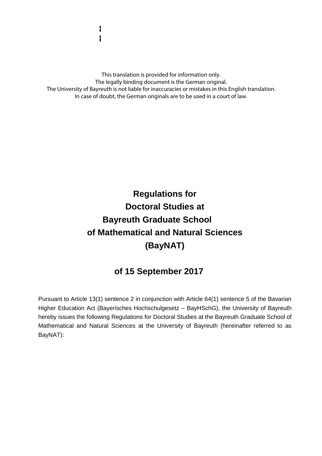This translation is provided for information only. The legally binding document is the German original. The University of Bayreuth is not liable for inaccuracies or mistakes in this English translation. In case of doubt, the German originals are to be used in a court of law.

# **Regulations for Doctoral Studies at Bayreuth Graduate School of Mathematical and Natural Sciences (BayNAT)**

# **of 15 September 2017**

Pursuant to Article 13(1) sentence 2 in conjunction with Article 64(1) sentence 5 of the Bavarian Higher Education Act (Bayerisches Hochschulgesetz – BayHSchG), the University of Bayreuth hereby issues the following Regulations for Doctoral Studies at the Bayreuth Graduate School of Mathematical and Natural Sciences at the University of Bayreuth (hereinafter referred to as BayNAT):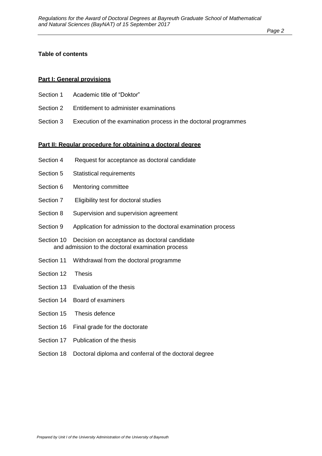#### *Page 2*

#### **Table of contents**

#### **Part I: General provisions**

- Section 1 Academic title of "Doktor"
- Section 2 Entitlement to administer examinations
- Section 3 Execution of the examination process in the doctoral programmes

#### **Part II: Regular procedure for obtaining a doctoral degree**

- Section 4 Request for acceptance as doctoral candidate
- Section 5 Statistical requirements
- Section 6 Mentoring committee
- Section 7 Eligibility test for doctoral studies
- Section 8 Supervision and supervision agreement
- Section 9 Application for admission to the doctoral examination process
- Section 10 Decision on acceptance as doctoral candidate and admission to the doctoral examination process
- Section 11 Withdrawal from the doctoral programme
- Section 12 Thesis
- Section 13 Evaluation of the thesis
- Section 14 Board of examiners
- Section 15 Thesis defence
- Section 16 Final grade for the doctorate
- Section 17 Publication of the thesis
- Section 18 Doctoral diploma and conferral of the doctoral degree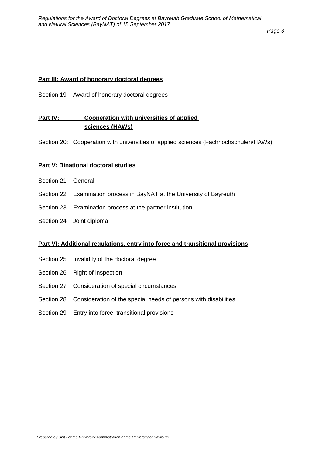*Page 3*

#### **Part III: Award of honorary doctoral degrees**

Section 19 Award of honorary doctoral degrees

### Part IV: Cooperation with universities of applied **sciences (HAWs)**

Section 20: Cooperation with universities of applied sciences (Fachhochschulen/HAWs)

#### **Part V: Binational doctoral studies**

- Section 21 General
- Section 22 Examination process in BayNAT at the University of Bayreuth
- Section 23 Examination process at the partner institution
- Section 24 Joint diploma

#### **Part VI: Additional regulations, entry into force and transitional provisions**

- Section 25 Invalidity of the doctoral degree
- Section 26 Right of inspection
- Section 27 Consideration of special circumstances
- Section 28 Consideration of the special needs of persons with disabilities
- Section 29 Entry into force, transitional provisions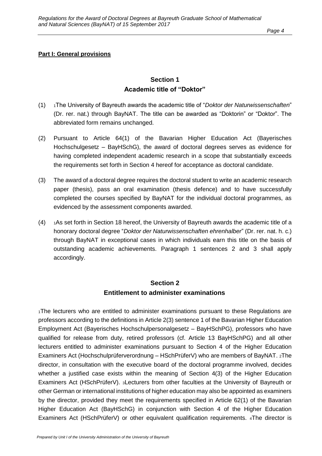#### **Part I: General provisions**

#### **Section 1 Academic title of "Doktor"**

- (1) <sup>1</sup>The University of Bayreuth awards the academic title of "*Doktor der Naturwissenschaften*" (Dr. rer. nat.) through BayNAT. The title can be awarded as "Doktorin" or "Doktor". The abbreviated form remains unchanged.
- (2) Pursuant to Article 64(1) of the Bavarian Higher Education Act (Bayerisches Hochschulgesetz – BayHSchG), the award of doctoral degrees serves as evidence for having completed independent academic research in a scope that substantially exceeds the requirements set forth in Section 4 hereof for acceptance as doctoral candidate.
- (3) The award of a doctoral degree requires the doctoral student to write an academic research paper (thesis), pass an oral examination (thesis defence) and to have successfully completed the courses specified by BayNAT for the individual doctoral programmes, as evidenced by the assessment components awarded.
- $(4)$  1As set forth in Section 18 hereof, the University of Bayreuth awards the academic title of a honorary doctoral degree "*Doktor der Naturwissenschaften ehrenhalber*" (Dr. rer. nat. h. c.) through BayNAT in exceptional cases in which individuals earn this title on the basis of outstanding academic achievements. Paragraph 1 sentences 2 and 3 shall apply accordingly.

#### **Section 2 Entitlement to administer examinations**

<sup>1</sup>The lecturers who are entitled to administer examinations pursuant to these Regulations are professors according to the definitions in Article 2(3) sentence 1 of the Bavarian Higher Education Employment Act (Bayerisches Hochschulpersonalgesetz – BayHSchPG), professors who have qualified for release from duty, retired professors (cf. Article 13 BayHSchPG) and all other lecturers entitled to administer examinations pursuant to Section 4 of the Higher Education Examiners Act (Hochschulprüferverordnung – HSchPrüferV) who are members of BayNAT. 2The director, in consultation with the executive board of the doctoral programme involved, decides whether a justified case exists within the meaning of Section 4(3) of the Higher Education Examiners Act (HSchPrüferV). 3Lecturers from other faculties at the University of Bayreuth or other German or international institutions of higher education may also be appointed as examiners by the director, provided they meet the requirements specified in Article 62(1) of the Bavarian Higher Education Act (BayHSchG) in conjunction with Section 4 of the Higher Education Examiners Act (HSchPrüferV) or other equivalent qualification requirements. 4The director is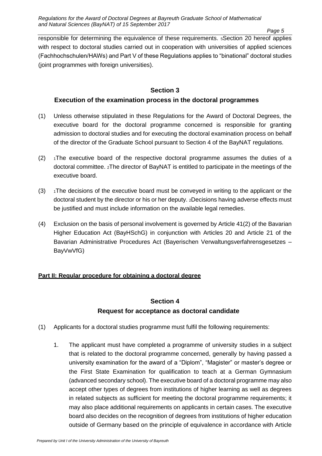*Page 5*

responsible for determining the equivalence of these requirements. 5Section 20 hereof applies with respect to doctoral studies carried out in cooperation with universities of applied sciences (Fachhochschulen/HAWs) and Part V of these Regulations applies to "binational" doctoral studies (joint programmes with foreign universities).

#### **Section 3**

#### **Execution of the examination process in the doctoral programmes**

- (1) Unless otherwise stipulated in these Regulations for the Award of Doctoral Degrees, the executive board for the doctoral programme concerned is responsible for granting admission to doctoral studies and for executing the doctoral examination process on behalf of the director of the Graduate School pursuant to Section 4 of the BayNAT regulations.
- $(2)$  1The executive board of the respective doctoral programme assumes the duties of a doctoral committee. 2The director of BayNAT is entitled to participate in the meetings of the executive board.
- $(3)$  1The decisions of the executive board must be conveyed in writing to the applicant or the doctoral student by the director or his or her deputy. 2Decisions having adverse effects must be justified and must include information on the available legal remedies.
- (4) Exclusion on the basis of personal involvement is governed by Article 41(2) of the Bavarian Higher Education Act (BayHSchG) in conjunction with Articles 20 and Article 21 of the Bavarian Administrative Procedures Act (Bayerischen Verwaltungsverfahrensgesetzes – BayVwVfG)

#### **Part II: Regular procedure for obtaining a doctoral degree**

### **Section 4 Request for acceptance as doctoral candidate**

- (1) Applicants for a doctoral studies programme must fulfil the following requirements:
	- 1. The applicant must have completed a programme of university studies in a subject that is related to the doctoral programme concerned, generally by having passed a university examination for the award of a "Diplom", "Magister" or master's degree or the First State Examination for qualification to teach at a German Gymnasium (advanced secondary school). The executive board of a doctoral programme may also accept other types of degrees from institutions of higher learning as well as degrees in related subjects as sufficient for meeting the doctoral programme requirements; it may also place additional requirements on applicants in certain cases. The executive board also decides on the recognition of degrees from institutions of higher education outside of Germany based on the principle of equivalence in accordance with Article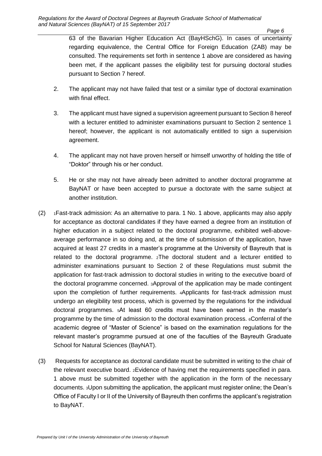63 of the Bavarian Higher Education Act (BayHSchG). In cases of uncertainty regarding equivalence, the Central Office for Foreign Education (ZAB) may be consulted. The requirements set forth in sentence 1 above are considered as having been met, if the applicant passes the eligibility test for pursuing doctoral studies pursuant to Section 7 hereof.

- 2. The applicant may not have failed that test or a similar type of doctoral examination with final effect.
- 3. The applicant must have signed a supervision agreement pursuant to Section 8 hereof with a lecturer entitled to administer examinations pursuant to Section 2 sentence 1 hereof; however, the applicant is not automatically entitled to sign a supervision agreement.
- 4. The applicant may not have proven herself or himself unworthy of holding the title of "Doktor" through his or her conduct.
- 5. He or she may not have already been admitted to another doctoral programme at BayNAT or have been accepted to pursue a doctorate with the same subject at another institution.
- (2) <sup>1</sup>Fast-track admission: As an alternative to para. 1 No. 1 above, applicants may also apply for acceptance as doctoral candidates if they have earned a degree from an institution of higher education in a subject related to the doctoral programme, exhibited well-aboveaverage performance in so doing and, at the time of submission of the application, have acquired at least 27 credits in a master's programme at the University of Bayreuth that is related to the doctoral programme. 2The doctoral student and a lecturer entitled to administer examinations pursuant to Section 2 of these Regulations must submit the application for fast-track admission to doctoral studies in writing to the executive board of the doctoral programme concerned. 3Approval of the application may be made contingent upon the completion of further requirements. 4Applicants for fast-track admission must undergo an elegibility test process, which is governed by the regulations for the individual doctoral programmes. 5At least 60 credits must have been earned in the master's programme by the time of admission to the doctoral examination process. 6Conferral of the academic degree of "Master of Science" is based on the examination regulations for the relevant master's programme pursued at one of the faculties of the Bayreuth Graduate School for Natural Sciences (BayNAT).
- (3) Requests for acceptance as doctoral candidate must be submitted in writing to the chair of the relevant executive board. 2Evidence of having met the requirements specified in para. 1 above must be submitted together with the application in the form of the necessary documents. 3Upon submitting the application, the applicant must register online; the Dean's Office of Faculty I or II of the University of Bayreuth then confirms the applicant's registration to BayNAT.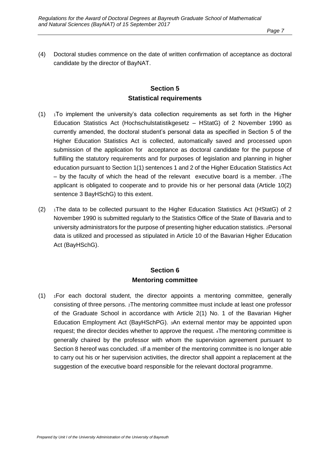(4) Doctoral studies commence on the date of written confirmation of acceptance as doctoral candidate by the director of BayNAT.

#### **Section 5 Statistical requirements**

- $(1)$  1To implement the university's data collection requirements as set forth in the Higher Education Statistics Act (Hochschulstatistikgesetz – HStatG) of 2 November 1990 as currently amended, the doctoral student's personal data as specified in Section 5 of the Higher Education Statistics Act is collected, automatically saved and processed upon submission of the application for acceptance as doctoral candidate for the purpose of fulfilling the statutory requirements and for purposes of legislation and planning in higher education pursuant to Section 1(1) sentences 1 and 2 of the Higher Education Statistics Act – by the faculty of which the head of the relevant executive board is a member. 2The applicant is obligated to cooperate and to provide his or her personal data (Article 10(2) sentence 3 BayHSchG) to this extent.
- $(2)$  1The data to be collected pursuant to the Higher Education Statistics Act (HStatG) of 2 November 1990 is submitted regularly to the Statistics Office of the State of Bavaria and to university administrators for the purpose of presenting higher education statistics. 2Personal data is utilized and processed as stipulated in Article 10 of the Bavarian Higher Education Act (BayHSchG).

#### **Section 6 Mentoring committee**

 $(1)$  1For each doctoral student, the director appoints a mentoring committee, generally consisting of three persons. 2The mentoring committee must include at least one professor of the Graduate School in accordance with Article 2(1) No. 1 of the Bavarian Higher Education Employment Act (BayHSchPG). 3An external mentor may be appointed upon request; the director decides whether to approve the request. 4The mentoring committee is generally chaired by the professor with whom the supervision agreement pursuant to Section 8 hereof was concluded.  $s$  if a member of the mentoring committee is no longer able to carry out his or her supervision activities, the director shall appoint a replacement at the suggestion of the executive board responsible for the relevant doctoral programme.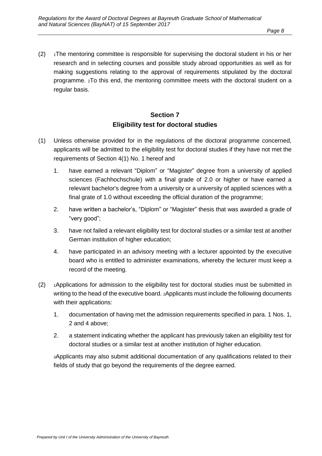$(2)$  1The mentoring committee is responsible for supervising the doctoral student in his or her research and in selecting courses and possible study abroad opportunities as well as for making suggestions relating to the approval of requirements stipulated by the doctoral programme. 2To this end, the mentoring committee meets with the doctoral student on a regular basis.

### **Section 7 Eligibility test for doctoral studies**

- (1) Unless otherwise provided for in the regulations of the doctoral programme concerned, applicants will be admitted to the eligibility test for doctoral studies if they have not met the requirements of Section 4(1) No. 1 hereof and
	- 1. have earned a relevant "Diplom" or "Magister" degree from a university of applied sciences (Fachhochschule) with a final grade of 2.0 or higher or have earned a relevant bachelor's degree from a university or a university of applied sciences with a final grate of 1.0 without exceeding the official duration of the programme;
	- 2. have written a bachelor's, "Diplom" or "Magister" thesis that was awarded a grade of "very good";
	- 3. have not failed a relevant eligibility test for doctoral studies or a similar test at another German institution of higher education;
	- 4. have participated in an advisory meeting with a lecturer appointed by the executive board who is entitled to administer examinations, whereby the lecturer must keep a record of the meeting.
- $(2)$  1Applications for admission to the eligibility test for doctoral studies must be submitted in writing to the head of the executive board. 2Applicants must include the following documents with their applications:
	- 1. documentation of having met the admission requirements specified in para. 1 Nos. 1, 2 and 4 above;
	- 2. a statement indicating whether the applicant has previously taken an eligibility test for doctoral studies or a similar test at another institution of higher education.

3Applicants may also submit additional documentation of any qualifications related to their fields of study that go beyond the requirements of the degree earned.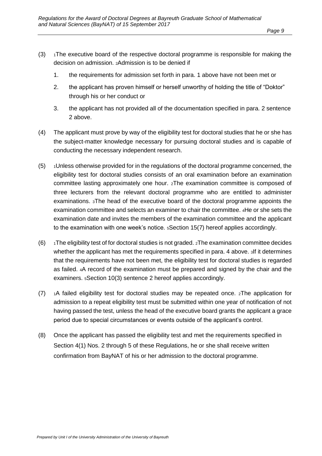- $(3)$  1The executive board of the respective doctoral programme is responsible for making the decision on admission. 2Admission is to be denied if
	- 1. the requirements for admission set forth in para. 1 above have not been met or
	- 2. the applicant has proven himself or herself unworthy of holding the title of "Doktor" through his or her conduct or
	- 3. the applicant has not provided all of the documentation specified in para. 2 sentence 2 above.
- (4) The applicant must prove by way of the eligibility test for doctoral studies that he or she has the subject-matter knowledge necessary for pursuing doctoral studies and is capable of conducting the necessary independent research.
- $(5)$  1Unless otherwise provided for in the regulations of the doctoral programme concerned, the eligibility test for doctoral studies consists of an oral examination before an examination committee lasting approximately one hour. 2The examination committee is composed of three lecturers from the relevant doctoral programme who are entitled to administer examinations. 3The head of the executive board of the doctoral programme appoints the examination committee and selects an examiner to chair the committee. 4He or she sets the examination date and invites the members of the examination committee and the applicant to the examination with one week's notice. 5Section 15(7) hereof applies accordingly.
- $(6)$  1The eligibility test of for doctoral studies is not graded.  $2$ The examination committee decides whether the applicant has met the requirements specified in para. 4 above. 3If it determines that the requirements have not been met, the eligibility test for doctoral studies is regarded as failed. 4A record of the examination must be prepared and signed by the chair and the examiners. 5Section 10(3) sentence 2 hereof applies accordingly.
- $(7)$  1A failed eligibility test for doctoral studies may be repeated once. 2The application for admission to a repeat eligibility test must be submitted within one year of notification of not having passed the test, unless the head of the executive board grants the applicant a grace period due to special circumstances or events outside of the applicant's control.
- (8) Once the applicant has passed the eligibility test and met the requirements specified in Section 4(1) Nos. 2 through 5 of these Regulations, he or she shall receive written confirmation from BayNAT of his or her admission to the doctoral programme.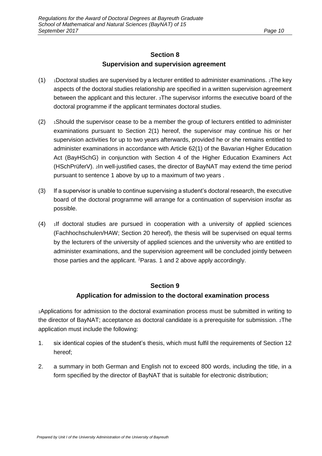#### **Section 8 Supervision and supervision agreement**

- $(1)$  1Doctoral studies are supervised by a lecturer entitled to administer examinations. 2The key aspects of the doctoral studies relationship are specified in a written supervision agreement between the applicant and this lecturer. 3The supervisor informs the executive board of the doctoral programme if the applicant terminates doctoral studies.
- $(2)$  1Should the supervisor cease to be a member the group of lecturers entitled to administer examinations pursuant to Section 2(1) hereof, the supervisor may continue his or her supervision activities for up to two years afterwards, provided he or she remains entitled to administer examinations in accordance with Article 62(1) of the Bavarian Higher Education Act (BayHSchG) in conjunction with Section 4 of the Higher Education Examiners Act (HSchPrüferV). 2In well-justified cases, the director of BayNAT may extend the time period pursuant to sentence 1 above by up to a maximum of two years .
- (3) If a supervisor is unable to continue supervising a student's doctoral research, the executive board of the doctoral programme will arrange for a continuation of supervision insofar as possible.
- $(4)$  1If doctoral studies are pursued in cooperation with a university of applied sciences (Fachhochschulen/HAW; Section 20 hereof), the thesis will be supervised on equal terms by the lecturers of the university of applied sciences and the university who are entitled to administer examinations, and the supervision agreement will be concluded jointly between those parties and the applicant. <sup>2</sup>Paras. 1 and 2 above apply accordingly.

#### **Section 9**

#### **Application for admission to the doctoral examination process**

1Applications for admission to the doctoral examination process must be submitted in writing to the director of BayNAT; acceptance as doctoral candidate is a prerequisite for submission. 2The application must include the following:

- 1. six identical copies of the student's thesis, which must fulfil the requirements of Section 12 hereof;
- 2. a summary in both German and English not to exceed 800 words, including the title, in a form specified by the director of BayNAT that is suitable for electronic distribution;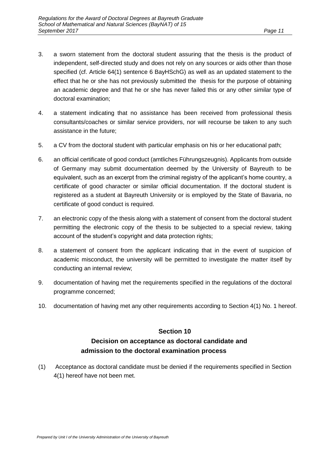- 3. a sworn statement from the doctoral student assuring that the thesis is the product of independent, self-directed study and does not rely on any sources or aids other than those specified (cf. Article 64(1) sentence 6 BayHSchG) as well as an updated statement to the effect that he or she has not previously submitted the thesis for the purpose of obtaining an academic degree and that he or she has never failed this or any other similar type of doctoral examination;
- 4. a statement indicating that no assistance has been received from professional thesis consultants/coaches or similar service providers, nor will recourse be taken to any such assistance in the future;
- 5. a CV from the doctoral student with particular emphasis on his or her educational path;
- 6. an official certificate of good conduct (amtliches Führungszeugnis). Applicants from outside of Germany may submit documentation deemed by the University of Bayreuth to be equivalent, such as an excerpt from the criminal registry of the applicant's home country, a certificate of good character or similar official documentation. If the doctoral student is registered as a student at Bayreuth University or is employed by the State of Bavaria, no certificate of good conduct is required.
- 7. an electronic copy of the thesis along with a statement of consent from the doctoral student permitting the electronic copy of the thesis to be subjected to a special review, taking account of the student's copyright and data protection rights;
- 8. a statement of consent from the applicant indicating that in the event of suspicion of academic misconduct, the university will be permitted to investigate the matter itself by conducting an internal review;
- 9. documentation of having met the requirements specified in the regulations of the doctoral programme concerned;
- 10. documentation of having met any other requirements according to Section 4(1) No. 1 hereof.

### **Section 10 Decision on acceptance as doctoral candidate and admission to the doctoral examination process**

(1) Acceptance as doctoral candidate must be denied if the requirements specified in Section 4(1) hereof have not been met.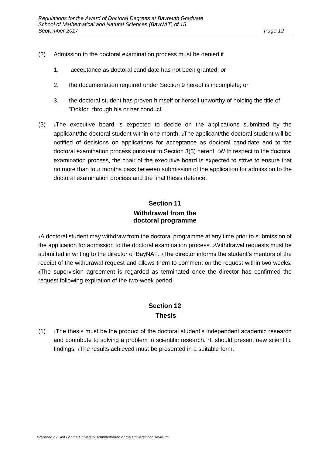- (2) Admission to the doctoral examination process must be denied if
	- 1. acceptance as doctoral candidate has not been granted; or
	- 2. the documentation required under Section 9 hereof is incomplete; or
	- 3. the doctoral student has proven himself or herself unworthy of holding the title of "Doktor" through his or her conduct.
- $(3)$   $1$ The executive board is expected to decide on the applications submitted by the applicant/the doctoral student within one month. 2The applicant/the doctoral student will be notified of decisions on applications for acceptance as doctoral candidate and to the doctoral examination process pursuant to Section 3(3) hereof. 3With respect to the doctoral examination process, the chair of the executive board is expected to strive to ensure that no more than four months pass between submission of the application for admission to the doctoral examination process and the final thesis defence.

### **Section 11 Withdrawal from the doctoral programme**

1A doctoral student may withdraw from the doctoral programme at any time prior to submission of the application for admission to the doctoral examination process. 2Withdrawal requests must be submitted in writing to the director of BayNAT. 3The director informs the student's mentors of the receipt of the withdrawal request and allows them to comment on the request within two weeks. <sup>4</sup>The supervision agreement is regarded as terminated once the director has confirmed the request following expiration of the two-week period.

### **Section 12 Thesis**

 $(1)$  1The thesis must be the product of the doctoral student's independent academic research and contribute to solving a problem in scientific research. 2It should present new scientific findings. 3The results achieved must be presented in a suitable form.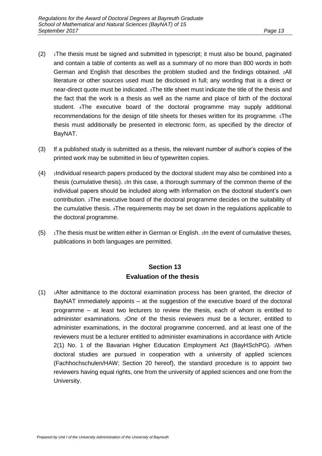- $(2)$  1The thesis must be signed and submitted in typescript; it must also be bound, paginated and contain a table of contents as well as a summary of no more than 800 words in both German and English that describes the problem studied and the findings obtained. 2All literature or other sources used must be disclosed in full; any wording that is a direct or near-direct quote must be indicated. 3The title sheet must indicate the title of the thesis and the fact that the work is a thesis as well as the name and place of birth of the doctoral student. 4The executive board of the doctoral programme may supply additional recommendations for the design of title sheets for theses written for its programme. 5The thesis must additionally be presented in electronic form, as specified by the director of BayNAT.
- (3) If a published study is submitted as a thesis, the relevant number of author's copies of the printed work may be submitted in lieu of typewritten copies.
- (4) <sup>1</sup>Individual research papers produced by the doctoral student may also be combined into a thesis (cumulative thesis). 2In this case, a thorough summary of the common theme of the individual papers should be included along with information on the doctoral student's own contribution. 3The executive board of the doctoral programme decides on the suitability of the cumulative thesis. 4The requirements may be set down in the regulations applicable to the doctoral programme.
- (5)  $\rightarrow$  1The thesis must be written either in German or English. 2In the event of cumulative theses, publications in both languages are permitted.

### **Section 13 Evaluation of the thesis**

(1) <sup>1</sup>After admittance to the doctoral examination process has been granted, the director of BayNAT immediately appoints – at the suggestion of the executive board of the doctoral programme – at least two lecturers to review the thesis, each of whom is entitled to administer examinations. 2One of the thesis reviewers must be a lecturer, entitled to administer examinations, in the doctoral programme concerned, and at least one of the reviewers must be a lecturer entitled to administer examinations in accordance with Article 2(1) No. 1 of the Bavarian Higher Education Employment Act (BayHSchPG). 3When doctoral studies are pursued in cooperation with a university of applied sciences (Fachhochschulen/HAW; Section 20 hereof), the standard procedure is to appoint two reviewers having equal rights, one from the university of applied sciences and one from the University.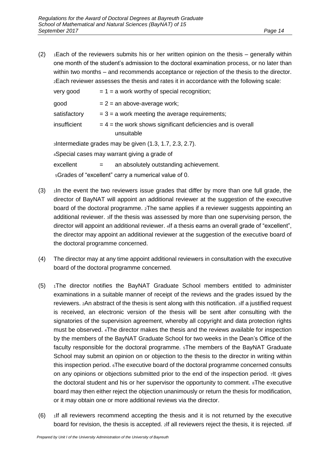(2)  $\rightarrow$  1Each of the reviewers submits his or her written opinion on the thesis – generally within one month of the student's admission to the doctoral examination process, or no later than within two months – and recommends acceptance or rejection of the thesis to the director. <sup>2</sup>Each reviewer assesses the thesis and rates it in accordance with the following scale:

| very good                                               | $= 1 = a$ work worthy of special recognition;                                |
|---------------------------------------------------------|------------------------------------------------------------------------------|
| good                                                    | $= 2 =$ an above-average work;                                               |
| satisfactory                                            | $=$ 3 = a work meeting the average requirements;                             |
| insufficient                                            | $=$ 4 = the work shows significant deficiencies and is overall<br>unsuitable |
| sIntermediate grades may be given (1.3, 1.7, 2.3, 2.7). |                                                                              |
| 4Special cases may warrant giving a grade of            |                                                                              |
| excellent                                               | an absolutely outstanding achievement.<br>$=$                                |
| 5Grades of "excellent" carry a numerical value of 0.    |                                                                              |

- $(3)$  1In the event the two reviewers issue grades that differ by more than one full grade, the director of BayNAT will appoint an additional reviewer at the suggestion of the executive board of the doctoral programme. 2The same applies if a reviewer suggests appointing an additional reviewer. 3If the thesis was assessed by more than one supervising person, the director will appoint an additional reviewer. 4If a thesis earns an overall grade of "excellent", the director may appoint an additional reviewer at the suggestion of the executive board of the doctoral programme concerned.
- (4) The director may at any time appoint additional reviewers in consultation with the executive board of the doctoral programme concerned.
- $(5)$  1The director notifies the BayNAT Graduate School members entitled to administer examinations in a suitable manner of receipt of the reviews and the grades issued by the reviewers. 2An abstract of the thesis is sent along with this notification. 3If a justified request is received, an electronic version of the thesis will be sent after consulting with the signatories of the supervision agreement, whereby all copyright and data protection rights must be observed. 4The director makes the thesis and the reviews available for inspection by the members of the BayNAT Graduate School for two weeks in the Dean's Office of the faculty responsible for the doctoral programme. 5The members of the BayNAT Graduate School may submit an opinion on or objection to the thesis to the director in writing within this inspection period. 6The executive board of the doctoral programme concerned consults on any opinions or objections submitted prior to the end of the inspection period. 7It gives the doctoral student and his or her supervisor the opportunity to comment. 8The executive board may then either reject the objection unanimously or return the thesis for modification, or it may obtain one or more additional reviews via the director.
- $(6)$  1If all reviewers recommend accepting the thesis and it is not returned by the executive board for revision, the thesis is accepted. 2If all reviewers reject the thesis, it is rejected. 3If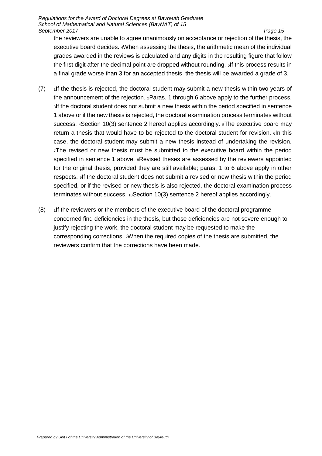the reviewers are unable to agree unanimously on acceptance or rejection of the thesis, the executive board decides. 4When assessing the thesis, the arithmetic mean of the individual grades awarded in the reviews is calculated and any digits in the resulting figure that follow the first digit after the decimal point are dropped without rounding. 5If this process results in a final grade worse than 3 for an accepted thesis, the thesis will be awarded a grade of 3.

- $(7)$  1If the thesis is rejected, the doctoral student may submit a new thesis within two years of the announcement of the rejection. 2Paras. 1 through 6 above apply to the further process. <sup>3</sup>If the doctoral student does not submit a new thesis within the period specified in sentence 1 above or if the new thesis is rejected, the doctoral examination process terminates without success. 4Section 10(3) sentence 2 hereof applies accordingly. 5The executive board may return a thesis that would have to be rejected to the doctoral student for revision. 6In this case, the doctoral student may submit a new thesis instead of undertaking the revision. <sup>7</sup>The revised or new thesis must be submitted to the executive board within the period specified in sentence 1 above.  $s$ Revised theses are assessed by the reviewers appointed for the original thesis, provided they are still available; paras. 1 to 6 above apply in other respects. 9If the doctoral student does not submit a revised or new thesis within the period specified, or if the revised or new thesis is also rejected, the doctoral examination process terminates without success. 10Section 10(3) sentence 2 hereof applies accordingly.
- $(8)$  1If the reviewers or the members of the executive board of the doctoral programme concerned find deficiencies in the thesis, but those deficiencies are not severe enough to justify rejecting the work, the doctoral student may be requested to make the corresponding corrections. 2When the required copies of the thesis are submitted, the reviewers confirm that the corrections have been made.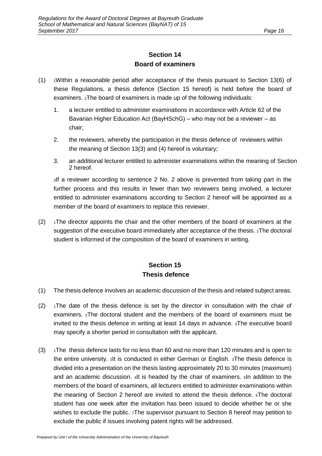### **Section 14 Board of examiners**

- $(1)$  1Within a reasonable period after acceptance of the thesis pursuant to Section 13(6) of these Regulations, a thesis defence (Section 15 hereof) is held before the board of examiners. 2The board of examiners is made up of the following individuals:
	- 1. a lecturer entitled to administer examinations in accordance with Article 62 of the Bavarian Higher Education Act (BayHSchG) – who may not be a reviewer – as chair;
	- 2. the reviewers, whereby the participation in the thesis defence of reviewers within the meaning of Section 13(3) and (4) hereof is voluntary;
	- 3. an additional lecturer entitled to administer examinations within the meaning of Section 2 hereof.

<sup>3</sup>If a reviewer according to sentence 2 No. 2 above is prevented from taking part in the further process and this results in fewer than two reviewers being involved, a lecturer entitled to administer examinations according to Section 2 hereof will be appointed as a member of the board of examiners to replace this reviewer.

 $(2)$  1The director appoints the chair and the other members of the board of examiners at the suggestion of the executive board immediately after acceptance of the thesis. 2The doctoral student is informed of the composition of the board of examiners in writing.

### **Section 15 Thesis defence**

- (1) The thesis defence involves an academic discussion of the thesis and related subject areas.
- $(2)$  1The date of the thesis defence is set by the director in consultation with the chair of examiners. 2The doctoral student and the members of the board of examiners must be invited to the thesis defence in writing at least 14 days in advance. 3The executive board may specify a shorter period in consultation with the applicant.
- $(3)$  1The thesis defence lasts for no less than 60 and no more than 120 minutes and is open to the entire university. 2It is conducted in either German or English. 3The thesis defence is divided into a presentation on the thesis lasting approximately 20 to 30 minutes (maximum) and an academic discussion. 4It is headed by the chair of examiners. 5In addition to the members of the board of examiners, all lecturers entitled to administer examinations within the meaning of Section 2 hereof are invited to attend the thesis defence. 6The doctoral student has one week after the invitation has been issued to decide whether he or she wishes to exclude the public. 7The supervisor pursuant to Section 8 hereof may petition to exclude the public if issues involving patent rights will be addressed.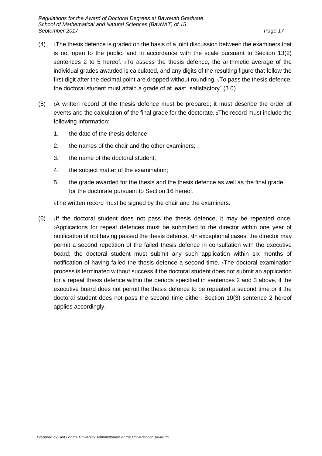- $(4)$  1The thesis defence is graded on the basis of a joint discussion between the examiners that is not open to the public, and in accordance with the scale pursuant to Section 13(2) sentences 2 to 5 hereof. 2To assess the thesis defence, the arithmetic average of the individual grades awarded is calculated, and any digits of the resulting figure that follow the first digit after the decimal point are dropped without rounding. 3To pass the thesis defence, the doctoral student must attain a grade of at least "satisfactory" (3.0).
- $(5)$  1A written record of the thesis defence must be prepared; it must describe the order of events and the calculation of the final grade for the doctorate. 2The record must include the following information:
	- 1. the date of the thesis defence;
	- 2. the names of the chair and the other examiners;
	- 3. the name of the doctoral student;
	- 4. the subject matter of the examination;
	- 5. the grade awarded for the thesis and the thesis defence as well as the final grade for the doctorate pursuant to Section 16 hereof.

<sup>3</sup>The written record must be signed by the chair and the examiners.

 $(6)$  1If the doctoral student does not pass the thesis defence, it may be repeated once. <sup>2</sup>Applications for repeat defences must be submitted to the director within one year of notification of not having passed the thesis defence. 3In exceptional cases, the director may permit a second repetition of the failed thesis defence in consultation with the executive board; the doctoral student must submit any such application within six months of notification of having failed the thesis defence a second time. 4The doctoral examination process is terminated without success if the doctoral student does not submit an application for a repeat thesis defence within the periods specified in sentences 2 and 3 above, if the executive board does not permit the thesis defence to be repeated a second time or if the doctoral student does not pass the second time either; Section 10(3) sentence 2 hereof applies accordingly.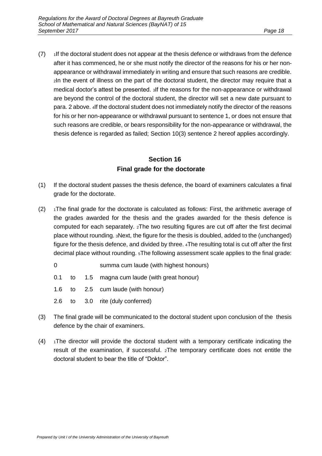$(7)$  1If the doctoral student does not appear at the thesis defence or withdraws from the defence after it has commenced, he or she must notify the director of the reasons for his or her nonappearance or withdrawal immediately in writing and ensure that such reasons are credible. <sup>2</sup>In the event of illness on the part of the doctoral student, the director may require that a medical doctor's attest be presented. 3If the reasons for the non-appearance or withdrawal are beyond the control of the doctoral student, the director will set a new date pursuant to para. 2 above. 4If the doctoral student does not immediately notify the director of the reasons for his or her non-appearance or withdrawal pursuant to sentence 1, or does not ensure that such reasons are credible, or bears responsibility for the non-appearance or withdrawal, the thesis defence is regarded as failed; Section 10(3) sentence 2 hereof applies accordingly.

### **Section 16 Final grade for the doctorate**

- (1) If the doctoral student passes the thesis defence, the board of examiners calculates a final grade for the doctorate.
- $(2)$  1The final grade for the doctorate is calculated as follows: First, the arithmetic average of the grades awarded for the thesis and the grades awarded for the thesis defence is computed for each separately. 2The two resulting figures are cut off after the first decimal place without rounding. 3Next, the figure for the thesis is doubled, added to the (unchanged) figure for the thesis defence, and divided by three. 4The resulting total is cut off after the first decimal place without rounding. 5The following assessment scale applies to the final grade:
	- 0 summa cum laude (with highest honours)
	- 0.1 to 1.5 magna cum laude (with great honour)
	- 1.6 to 2.5 cum laude (with honour)
	- 2.6 to 3.0 rite (duly conferred)
- (3) The final grade will be communicated to the doctoral student upon conclusion of the thesis defence by the chair of examiners.
- $(4)$  1The director will provide the doctoral student with a temporary certificate indicating the result of the examination, if successful. 2The temporary certificate does not entitle the doctoral student to bear the title of "Doktor".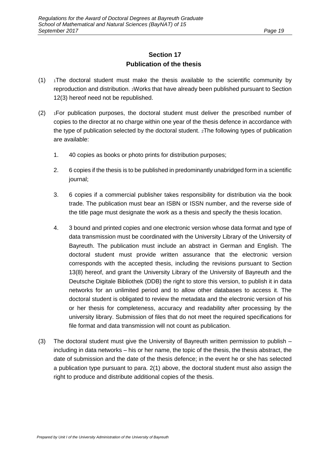### **Section 17 Publication of the thesis**

- $(1)$  1The doctoral student must make the thesis available to the scientific community by reproduction and distribution. 2Works that have already been published pursuant to Section 12(3) hereof need not be republished.
- $(2)$  1For publication purposes, the doctoral student must deliver the prescribed number of copies to the director at no charge within one year of the thesis defence in accordance with the type of publication selected by the doctoral student. 2The following types of publication are available:
	- 1. 40 copies as books or photo prints for distribution purposes;
	- 2. 6 copies if the thesis is to be published in predominantly unabridged form in a scientific journal;
	- 3. 6 copies if a commercial publisher takes responsibility for distribution via the book trade. The publication must bear an ISBN or ISSN number, and the reverse side of the title page must designate the work as a thesis and specify the thesis location.
	- 4. 3 bound and printed copies and one electronic version whose data format and type of data transmission must be coordinated with the University Library of the University of Bayreuth. The publication must include an abstract in German and English. The doctoral student must provide written assurance that the electronic version corresponds with the accepted thesis, including the revisions pursuant to Section 13(8) hereof, and grant the University Library of the University of Bayreuth and the Deutsche Digitale Bibliothek (DDB) the right to store this version, to publish it in data networks for an unlimited period and to allow other databases to access it. The doctoral student is obligated to review the metadata and the electronic version of his or her thesis for completeness, accuracy and readability after processing by the university library. Submission of files that do not meet the required specifications for file format and data transmission will not count as publication.
- (3) The doctoral student must give the University of Bayreuth written permission to publish including in data networks – his or her name, the topic of the thesis, the thesis abstract, the date of submission and the date of the thesis defence; in the event he or she has selected a publication type pursuant to para. 2(1) above, the doctoral student must also assign the right to produce and distribute additional copies of the thesis.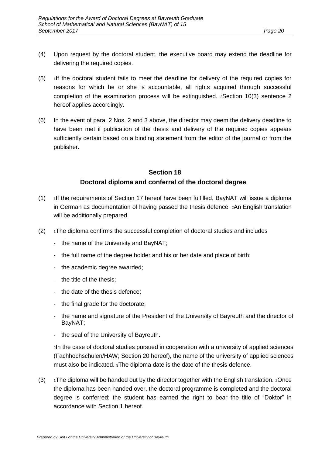- (4) Upon request by the doctoral student, the executive board may extend the deadline for delivering the required copies.
- $(5)$  1If the doctoral student fails to meet the deadline for delivery of the required copies for reasons for which he or she is accountable, all rights acquired through successful completion of the examination process will be extinguished. 2Section 10(3) sentence 2 hereof applies accordingly.
- (6) In the event of para. 2 Nos. 2 and 3 above, the director may deem the delivery deadline to have been met if publication of the thesis and delivery of the required copies appears sufficiently certain based on a binding statement from the editor of the journal or from the publisher.

### **Section 18 Doctoral diploma and conferral of the doctoral degree**

- $(1)$  1If the requirements of Section 17 hereof have been fulfilled, BayNAT will issue a diploma in German as documentation of having passed the thesis defence. 2An English translation will be additionally prepared.
- $(2)$  1The diploma confirms the successful completion of doctoral studies and includes
	- the name of the University and BayNAT;
	- the full name of the degree holder and his or her date and place of birth;
	- the academic degree awarded;
	- the title of the thesis;
	- the date of the thesis defence;
	- the final grade for the doctorate;
	- the name and signature of the President of the University of Bayreuth and the director of BayNAT;
	- the seal of the University of Bayreuth.

<sup>2</sup>In the case of doctoral studies pursued in cooperation with a university of applied sciences (Fachhochschulen/HAW; Section 20 hereof), the name of the university of applied sciences must also be indicated. 3The diploma date is the date of the thesis defence.

 $(3)$  1The diploma will be handed out by the director together with the English translation. 2Once the diploma has been handed over, the doctoral programme is completed and the doctoral degree is conferred; the student has earned the right to bear the title of "Doktor" in accordance with Section 1 hereof.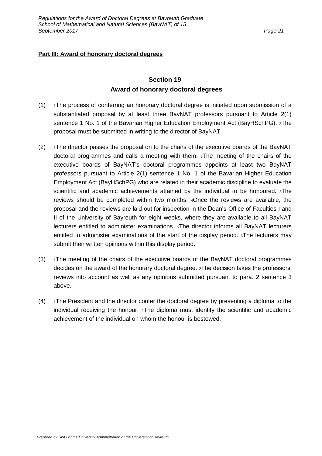### **Part III: Award of honorary doctoral degrees**

### **Section 19 Award of honorary doctoral degrees**

- $(1)$  1The process of conferring an honorary doctoral degree is initiated upon submission of a substantiated proposal by at least three BayNAT professors pursuant to Article 2(1) sentence 1 No. 1 of the Bavarian Higher Education Employment Act (BayHSchPG). 2The proposal must be submitted in writing to the director of BayNAT.
- $(2)$  1The director passes the proposal on to the chairs of the executive boards of the BayNAT doctoral programmes and calls a meeting with them. 2The meeting of the chairs of the executive boards of BayNAT's doctoral programmes appoints at least two BayNAT professors pursuant to Article 2(1) sentence 1 No. 1 of the Bavarian Higher Education Employment Act (BayHSchPG) who are related in their academic discipline to evaluate the scientific and academic achievements attained by the individual to be honoured. 3The reviews should be completed within two months. 4Once the reviews are available, the proposal and the reviews are laid out for inspection in the Dean's Office of Faculties I and II of the University of Bayreuth for eight weeks, where they are available to all BayNAT lecturers entitled to administer examinations. 5The director informs all BayNAT lecturers entitled to administer examinations of the start of the display period.  $\epsilon$ The lecturers may submit their written opinions within this display period.
- $(3)$  1The meeting of the chairs of the executive boards of the BayNAT doctoral programmes decides on the award of the honorary doctoral degree. 2The decision takes the professors' reviews into account as well as any opinions submitted pursuant to para. 2 sentence 3 above.
- $(4)$  1The President and the director confer the doctoral degree by presenting a diploma to the individual receiving the honour. 2The diploma must identify the scientific and academic achievement of the individual on whom the honour is bestowed.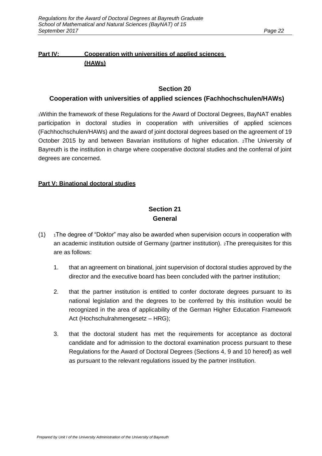#### **Part IV: Cooperation with universities of applied sciences (HAWs)**

#### **Section 20**

#### **Cooperation with universities of applied sciences (Fachhochschulen/HAWs)**

<sup>1</sup>Within the framework of these Regulations for the Award of Doctoral Degrees, BayNAT enables participation in doctoral studies in cooperation with universities of applied sciences (Fachhochschulen/HAWs) and the award of joint doctoral degrees based on the agreement of 19 October 2015 by and between Bavarian institutions of higher education. 2The University of Bayreuth is the institution in charge where cooperative doctoral studies and the conferral of joint degrees are concerned.

#### **Part V: Binational doctoral studies**

### **Section 21 General**

- $(1)$  1The degree of "Doktor" may also be awarded when supervision occurs in cooperation with an academic institution outside of Germany (partner institution). 2The prerequisites for this are as follows:
	- 1. that an agreement on binational, joint supervision of doctoral studies approved by the director and the executive board has been concluded with the partner institution;
	- 2. that the partner institution is entitled to confer doctorate degrees pursuant to its national legislation and the degrees to be conferred by this institution would be recognized in the area of applicability of the German Higher Education Framework Act (Hochschulrahmengesetz – HRG);
	- 3. that the doctoral student has met the requirements for acceptance as doctoral candidate and for admission to the doctoral examination process pursuant to these Regulations for the Award of Doctoral Degrees (Sections 4, 9 and 10 hereof) as well as pursuant to the relevant regulations issued by the partner institution.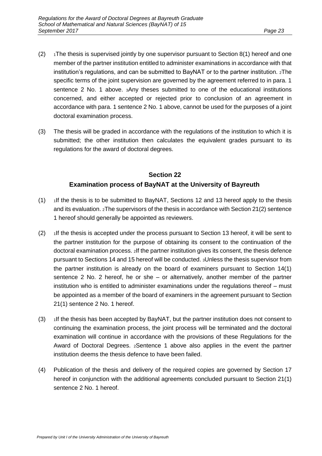- $(2)$  1The thesis is supervised jointly by one supervisor pursuant to Section 8(1) hereof and one member of the partner institution entitled to administer examinations in accordance with that institution's regulations, and can be submitted to BayNAT or to the partner institution. 2The specific terms of the joint supervision are governed by the agreement referred to in para. 1 sentence 2 No. 1 above. 3Any theses submitted to one of the educational institutions concerned, and either accepted or rejected prior to conclusion of an agreement in accordance with para. 1 sentence 2 No. 1 above, cannot be used for the purposes of a joint doctoral examination process.
- (3) The thesis will be graded in accordance with the regulations of the institution to which it is submitted; the other institution then calculates the equivalent grades pursuant to its regulations for the award of doctoral degrees.

## **Section 22 Examination process of BayNAT at the University of Bayreuth**

- (1)  $\frac{1}{1}$  1If the thesis is to be submitted to BayNAT, Sections 12 and 13 hereof apply to the thesis and its evaluation. 2The supervisors of the thesis in accordance with Section 21(2) sentence 1 hereof should generally be appointed as reviewers.
- $(2)$  1If the thesis is accepted under the process pursuant to Section 13 hereof, it will be sent to the partner institution for the purpose of obtaining its consent to the continuation of the doctoral examination process. 2If the partner institution gives its consent, the thesis defence pursuant to Sections 14 and 15 hereof will be conducted. 3Unless the thesis supervisor from the partner institution is already on the board of examiners pursuant to Section 14(1) sentence 2 No. 2 hereof, he or she – or alternatively, another member of the partner institution who is entitled to administer examinations under the regulations thereof – must be appointed as a member of the board of examiners in the agreement pursuant to Section 21(1) sentence 2 No. 1 hereof.
- $(3)$  1If the thesis has been accepted by BayNAT, but the partner institution does not consent to continuing the examination process, the joint process will be terminated and the doctoral examination will continue in accordance with the provisions of these Regulations for the Award of Doctoral Degrees. 2Sentence 1 above also applies in the event the partner institution deems the thesis defence to have been failed.
- (4) Publication of the thesis and delivery of the required copies are governed by Section 17 hereof in conjunction with the additional agreements concluded pursuant to Section 21(1) sentence 2 No. 1 hereof.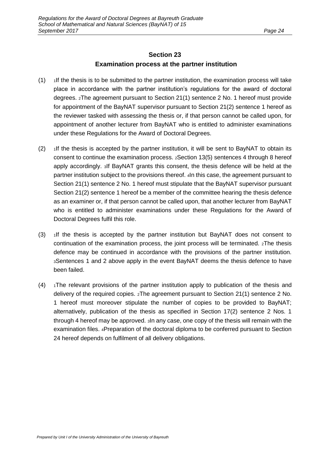#### **Section 23 Examination process at the partner institution**

- $(1)$  1If the thesis is to be submitted to the partner institution, the examination process will take place in accordance with the partner institution's regulations for the award of doctoral degrees. 2The agreement pursuant to Section 21(1) sentence 2 No. 1 hereof must provide for appointment of the BayNAT supervisor pursuant to Section 21(2) sentence 1 hereof as the reviewer tasked with assessing the thesis or, if that person cannot be called upon, for appointment of another lecturer from BayNAT who is entitled to administer examinations under these Regulations for the Award of Doctoral Degrees.
- $(2)$  1If the thesis is accepted by the partner institution, it will be sent to BayNAT to obtain its consent to continue the examination process. 2Section 13(5) sentences 4 through 8 hereof apply accordingly. 3If BayNAT grants this consent, the thesis defence will be held at the partner institution subject to the provisions thereof. 4In this case, the agreement pursuant to Section 21(1) sentence 2 No. 1 hereof must stipulate that the BayNAT supervisor pursuant Section 21(2) sentence 1 hereof be a member of the committee hearing the thesis defence as an examiner or, if that person cannot be called upon, that another lecturer from BayNAT who is entitled to administer examinations under these Regulations for the Award of Doctoral Degrees fulfil this role.
- (3)  $\frac{1}{1}$  1If the thesis is accepted by the partner institution but BayNAT does not consent to continuation of the examination process, the joint process will be terminated. 2The thesis defence may be continued in accordance with the provisions of the partner institution. <sup>3</sup>Sentences 1 and 2 above apply in the event BayNAT deems the thesis defence to have been failed.
- $(4)$  1The relevant provisions of the partner institution apply to publication of the thesis and delivery of the required copies. 2The agreement pursuant to Section 21(1) sentence 2 No. 1 hereof must moreover stipulate the number of copies to be provided to BayNAT; alternatively, publication of the thesis as specified in Section 17(2) sentence 2 Nos. 1 through 4 hereof may be approved. 3In any case, one copy of the thesis will remain with the examination files. 4Preparation of the doctoral diploma to be conferred pursuant to Section 24 hereof depends on fulfilment of all delivery obligations.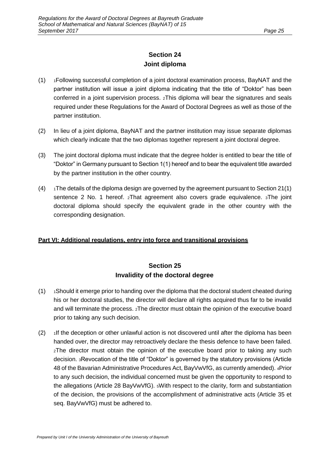### **Section 24 Joint diploma**

- (1) <sup>1</sup>Following successful completion of a joint doctoral examination process, BayNAT and the partner institution will issue a joint diploma indicating that the title of "Doktor" has been conferred in a joint supervision process. 2This diploma will bear the signatures and seals required under these Regulations for the Award of Doctoral Degrees as well as those of the partner institution.
- (2) In lieu of a joint diploma, BayNAT and the partner institution may issue separate diplomas which clearly indicate that the two diplomas together represent a joint doctoral degree.
- (3) The joint doctoral diploma must indicate that the degree holder is entitled to bear the title of "Doktor" in Germany pursuant to Section 1(1) hereof and to bear the equivalent title awarded by the partner institution in the other country.
- $(4)$  1The details of the diploma design are governed by the agreement pursuant to Section 21(1) sentence 2 No. 1 hereof. 2That agreement also covers grade equivalence. 3The joint doctoral diploma should specify the equivalent grade in the other country with the corresponding designation.

#### **Part VI: Additional regulations, entry into force and transitional provisions**

### **Section 25 Invalidity of the doctoral degree**

- $(1)$  1Should it emerge prior to handing over the diploma that the doctoral student cheated during his or her doctoral studies, the director will declare all rights acquired thus far to be invalid and will terminate the process. 2The director must obtain the opinion of the executive board prior to taking any such decision.
- $(2)$  1If the deception or other unlawful action is not discovered until after the diploma has been handed over, the director may retroactively declare the thesis defence to have been failed. <sup>2</sup>The director must obtain the opinion of the executive board prior to taking any such decision. 3Revocation of the title of "Doktor" is governed by the statutory provisions (Article 48 of the Bavarian Administrative Procedures Act, BayVwVfG, as currently amended). 4Prior to any such decision, the individual concerned must be given the opportunity to respond to the allegations (Article 28 BayVwVfG). 5With respect to the clarity, form and substantiation of the decision, the provisions of the accomplishment of administrative acts (Article 35 et seq. BayVwVfG) must be adhered to.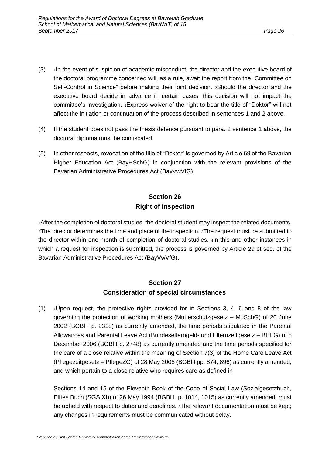- $(3)$  1In the event of suspicion of academic misconduct, the director and the executive board of the doctoral programme concerned will, as a rule, await the report from the "Committee on Self-Control in Science" before making their joint decision. 2Should the director and the executive board decide in advance in certain cases, this decision will not impact the committee's investigation. 3Express waiver of the right to bear the title of "Doktor" will not affect the initiation or continuation of the process described in sentences 1 and 2 above.
- (4) If the student does not pass the thesis defence pursuant to para. 2 sentence 1 above, the doctoral diploma must be confiscated.
- (5) In other respects, revocation of the title of "Doktor" is governed by Article 69 of the Bavarian Higher Education Act (BayHSchG) in conjunction with the relevant provisions of the Bavarian Administrative Procedures Act (BayVwVfG).

### **Section 26 Right of inspection**

<sup>1</sup>After the completion of doctoral studies, the doctoral student may inspect the related documents. <sup>2</sup>The director determines the time and place of the inspection. 3The request must be submitted to the director within one month of completion of doctoral studies. 4In this and other instances in which a request for inspection is submitted, the process is governed by Article 29 et seq. of the Bavarian Administrative Procedures Act (BayVwVfG).

#### **Section 27 Consideration of special circumstances**

 $(1)$  1Upon request, the protective rights provided for in Sections 3, 4, 6 and 8 of the law governing the protection of working mothers (Mutterschutzgesetz – MuSchG) of 20 June 2002 (BGBl I p. 2318) as currently amended, the time periods stipulated in the Parental Allowances and Parental Leave Act (Bundeselterngeld- und Elternzeitgesetz – BEEG) of 5 December 2006 (BGBl I p. 2748) as currently amended and the time periods specified for the care of a close relative within the meaning of Section 7(3) of the Home Care Leave Act (Pflegezeitgesetz – PflegeZG) of 28 May 2008 (BGBl I pp. 874, 896) as currently amended, and which pertain to a close relative who requires care as defined in

Sections 14 and 15 of the Eleventh Book of the Code of Social Law (Sozialgesetzbuch, Elftes Buch (SGS XI)) of 26 May 1994 (BGBl I. p. 1014, 1015) as currently amended, must be upheld with respect to dates and deadlines.  $2$ The relevant documentation must be kept; any changes in requirements must be communicated without delay.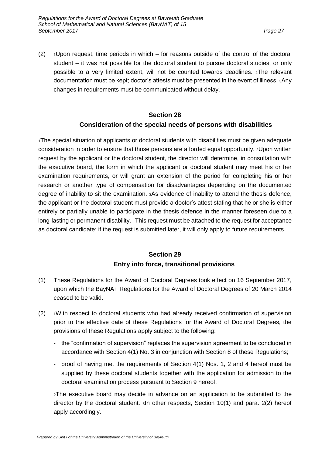(2)  $\rightarrow$  1Upon request, time periods in which – for reasons outside of the control of the doctoral student – it was not possible for the doctoral student to pursue doctoral studies, or only possible to a very limited extent, will not be counted towards deadlines. 2The relevant documentation must be kept; doctor's attests must be presented in the event of illness. 3Any changes in requirements must be communicated without delay.

#### **Section 28**

#### **Consideration of the special needs of persons with disabilities**

<sup>1</sup>The special situation of applicants or doctoral students with disabilities must be given adequate consideration in order to ensure that those persons are afforded equal opportunity. 2Upon written request by the applicant or the doctoral student, the director will determine, in consultation with the executive board, the form in which the applicant or doctoral student may meet his or her examination requirements, or will grant an extension of the period for completing his or her research or another type of compensation for disadvantages depending on the documented degree of inability to sit the examination. 3As evidence of inability to attend the thesis defence, the applicant or the doctoral student must provide a doctor's attest stating that he or she is either entirely or partially unable to participate in the thesis defence in the manner foreseen due to a long-lasting or permanent disability. This request must be attached to the request for acceptance as doctoral candidate; if the request is submitted later, it will only apply to future requirements.

### **Section 29 Entry into force, transitional provisions**

- (1) These Regulations for the Award of Doctoral Degrees took effect on 16 September 2017, upon which the BayNAT Regulations for the Award of Doctoral Degrees of 20 March 2014 ceased to be valid.
- $(2)$   $\rightarrow$  1With respect to doctoral students who had already received confirmation of supervision prior to the effective date of these Regulations for the Award of Doctoral Degrees, the provisions of these Regulations apply subject to the following:
	- the "confirmation of supervision" replaces the supervision agreement to be concluded in accordance with Section 4(1) No. 3 in conjunction with Section 8 of these Regulations;
	- proof of having met the requirements of Section 4(1) Nos. 1, 2 and 4 hereof must be supplied by these doctoral students together with the application for admission to the doctoral examination process pursuant to Section 9 hereof.

<sup>2</sup>The executive board may decide in advance on an application to be submitted to the director by the doctoral student. 3In other respects, Section 10(1) and para. 2(2) hereof apply accordingly.